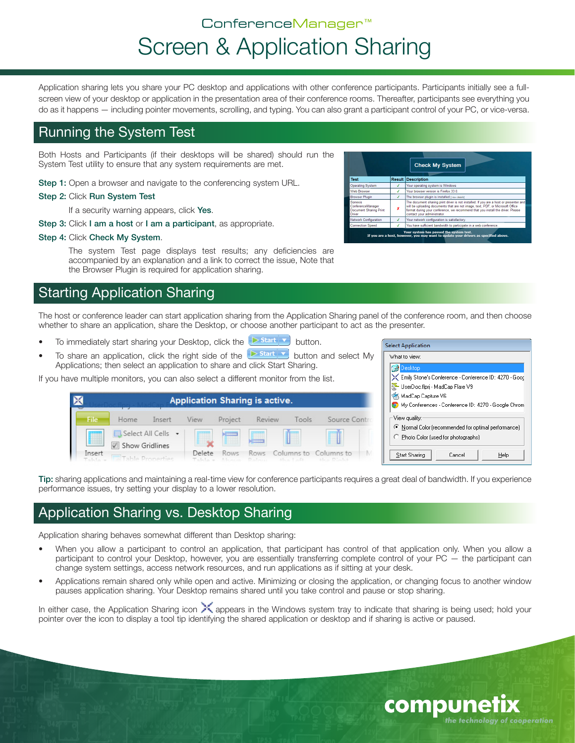# ConferenceManager™ Screen & Application Sharing

Application sharing lets you share your PC desktop and applications with other conference participants. Participants initially see a fullscreen view of your desktop or application in the presentation area of their conference rooms. Thereafter, participants see everything you do as it happens — including pointer movements, scrolling, and typing. You can also grant a participant control of your PC, or vice-versa.

#### Running the System Test

Both Hosts and Participants (if their desktops will be shared) should run the System Test utility to ensure that any system requirements are met.

- Step 1: Open a browser and navigate to the conferencing system URL.
- Step 2: Click Run System Test

If a security warning appears, click Yes.

- Step 3: Click I am a host or I am a participant, as appropriate.
- Step 4: Click Check My System.

The system Test page displays test results; any deficiencies are accompanied by an explanation and a link to correct the issue, Note that the Browser Plugin is required for application sharing.

# Starting Application Sharing

The host or conference leader can start application sharing from the Application Sharing panel of the conference room, and then choose whether to share an application, share the Desktop, or choose another participant to act as the presenter.

- To immediately start sharing your Desktop, click the  $\Box$  start  $\Box$  button.
- To share an application, click the right side of the  $\overline{b}$  start  $\overline{v}$  button and select My Applications; then select an application to share and click Start Sharing.

If you have multiple monitors, you can also select a different monitor from the list.

| <b>Application Sharing is active.</b> |                |                    |                   |                      |         |           |                                         |   |
|---------------------------------------|----------------|--------------------|-------------------|----------------------|---------|-----------|-----------------------------------------|---|
| <b>File</b>                           | Home           | Insert             | View              | Project              | Review  | Tools     | Source Control                          |   |
| E                                     | Show Gridlines | Select All Cells + | m                 | ī                    | m<br>æ. |           |                                         |   |
| Insert<br>Talalar                     |                |                    | Delete<br>Takla e | Rows<br>About Polent | Rows.   | $h = 1.5$ | Columns to Columns to<br>About Director | M |

|       | Desktop<br>Emily Stone's Conference - Conference ID: 4270 - Good                                              |
|-------|---------------------------------------------------------------------------------------------------------------|
|       | UserDoc.flprj - MadCap Flare V9                                                                               |
|       | "25 MadCap Capture V6<br>My Conferences - Conference ID: 4270 - Google Chrom                                  |
| Contr | View quality:<br>● Normal Color (recommended for optimal performance)<br>C Photo Color (used for photographs) |
| b     | Start Sharing<br>Cancel<br>Help                                                                               |

compune

the technology of cooperation

**Select Application** What to view:

Tip: sharing applications and maintaining a real-time view for conference participants requires a great deal of bandwidth. If you experience performance issues, try setting your display to a lower resolution.

# Application Sharing vs. Desktop Sharing

Application sharing behaves somewhat different than Desktop sharing:

- When you allow a participant to control an application, that participant has control of that application only. When you allow a participant to control your Desktop, however, you are essentially transferring complete control of your PC — the participant can change system settings, access network resources, and run applications as if sitting at your desk.
- Applications remain shared only while open and active. Minimizing or closing the application, or changing focus to another window pauses application sharing. Your Desktop remains shared until you take control and pause or stop sharing.

In either case, the Application Sharing icon  $\searrow$  appears in the Windows system tray to indicate that sharing is being used; hold your pointer over the icon to display a tool tip identifying the shared application or desktop and if sharing is active or paused.